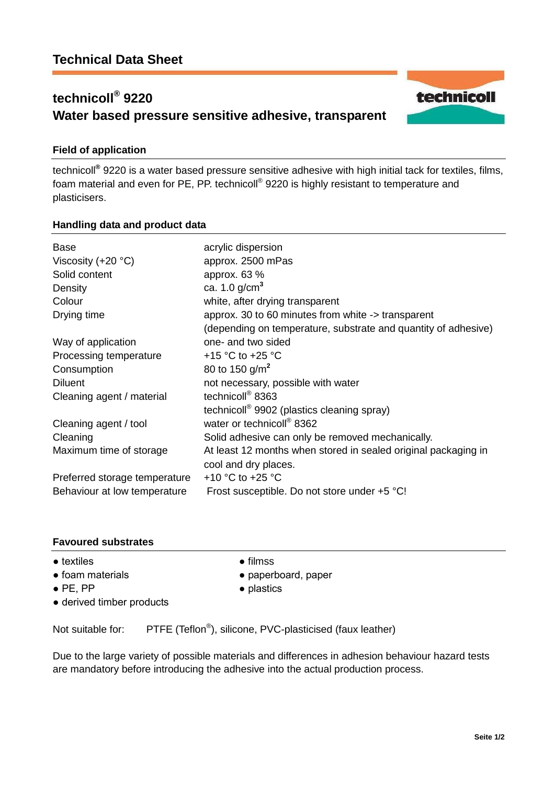# **technicoll® 9220 Water based pressure sensitive adhesive, transparent**

# **Field of application**

technicoll**®** 9220 is a water based pressure sensitive adhesive with high initial tack for textiles, films, foam material and even for PE, PP. technicoll® 9220 is highly resistant to temperature and plasticisers.

# **Handling data and product data**

| <b>Base</b><br>Viscosity $(+20 °C)$<br>Solid content<br>Density<br>Colour<br>Drying time | acrylic dispersion<br>approx. 2500 mPas<br>approx. 63 %<br>ca. 1.0 $g/cm3$<br>white, after drying transparent<br>approx. 30 to 60 minutes from white -> transparent |
|------------------------------------------------------------------------------------------|---------------------------------------------------------------------------------------------------------------------------------------------------------------------|
|                                                                                          | (depending on temperature, substrate and quantity of adhesive)                                                                                                      |
| Way of application                                                                       | one- and two sided                                                                                                                                                  |
| Processing temperature                                                                   | +15 $\degree$ C to +25 $\degree$ C                                                                                                                                  |
| Consumption                                                                              | 80 to 150 g/m <sup>2</sup>                                                                                                                                          |
| <b>Diluent</b>                                                                           | not necessary, possible with water                                                                                                                                  |
| Cleaning agent / material                                                                | technicoll <sup>®</sup> 8363                                                                                                                                        |
|                                                                                          | technicoll <sup>®</sup> 9902 (plastics cleaning spray)                                                                                                              |
| Cleaning agent / tool                                                                    | water or technicoll® 8362                                                                                                                                           |
| Cleaning                                                                                 | Solid adhesive can only be removed mechanically.                                                                                                                    |
| Maximum time of storage                                                                  | At least 12 months when stored in sealed original packaging in<br>cool and dry places.                                                                              |
| Preferred storage temperature                                                            | +10 $\degree$ C to +25 $\degree$ C                                                                                                                                  |
| Behaviour at low temperature                                                             | Frost susceptible. Do not store under +5 °C!                                                                                                                        |

# **Favoured substrates**

- textiles filmss
- foam materials paperboard, paper
- 
- PE, PP plastics
- derived timber products

Not suitable for: PTFE (Teflon<sup>®</sup>), silicone, PVC-plasticised (faux leather)

Due to the large variety of possible materials and differences in adhesion behaviour hazard tests are mandatory before introducing the adhesive into the actual production process.